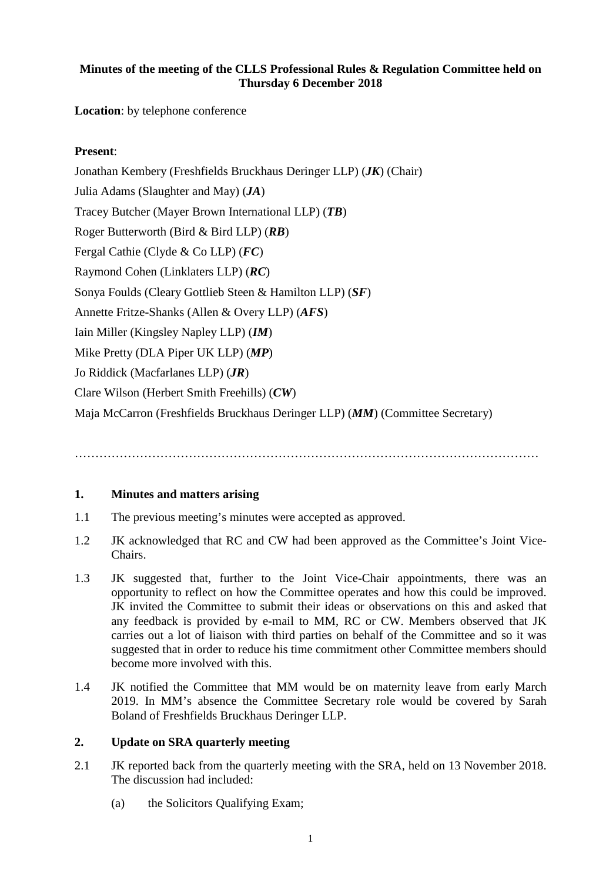## **Minutes of the meeting of the CLLS Professional Rules & Regulation Committee held on Thursday 6 December 2018**

**Location**: by telephone conference

# **Present**:

Jonathan Kembery (Freshfields Bruckhaus Deringer LLP) (*JK*) (Chair) Julia Adams (Slaughter and May) (*JA*) Tracey Butcher (Mayer Brown International LLP) (*TB*) Roger Butterworth (Bird & Bird LLP) (*RB*) Fergal Cathie (Clyde & Co LLP) (*FC*) Raymond Cohen (Linklaters LLP) (*RC*) Sonya Foulds (Cleary Gottlieb Steen & Hamilton LLP) (*SF*) Annette Fritze-Shanks (Allen & Overy LLP) (*AFS*) Iain Miller (Kingsley Napley LLP) (*IM*) Mike Pretty (DLA Piper UK LLP) (*MP*) Jo Riddick (Macfarlanes LLP) (*JR*) Clare Wilson (Herbert Smith Freehills) (*CW*) Maja McCarron (Freshfields Bruckhaus Deringer LLP) (*MM*) (Committee Secretary)

### ……………………………………………………………………………………………………

### **1. Minutes and matters arising**

- 1.1 The previous meeting's minutes were accepted as approved.
- 1.2 JK acknowledged that RC and CW had been approved as the Committee's Joint Vice-Chairs.
- 1.3 JK suggested that, further to the Joint Vice-Chair appointments, there was an opportunity to reflect on how the Committee operates and how this could be improved. JK invited the Committee to submit their ideas or observations on this and asked that any feedback is provided by e-mail to MM, RC or CW. Members observed that JK carries out a lot of liaison with third parties on behalf of the Committee and so it was suggested that in order to reduce his time commitment other Committee members should become more involved with this.
- 1.4 JK notified the Committee that MM would be on maternity leave from early March 2019. In MM's absence the Committee Secretary role would be covered by Sarah Boland of Freshfields Bruckhaus Deringer LLP.

### **2. Update on SRA quarterly meeting**

- 2.1 JK reported back from the quarterly meeting with the SRA, held on 13 November 2018. The discussion had included:
	- (a) the Solicitors Qualifying Exam;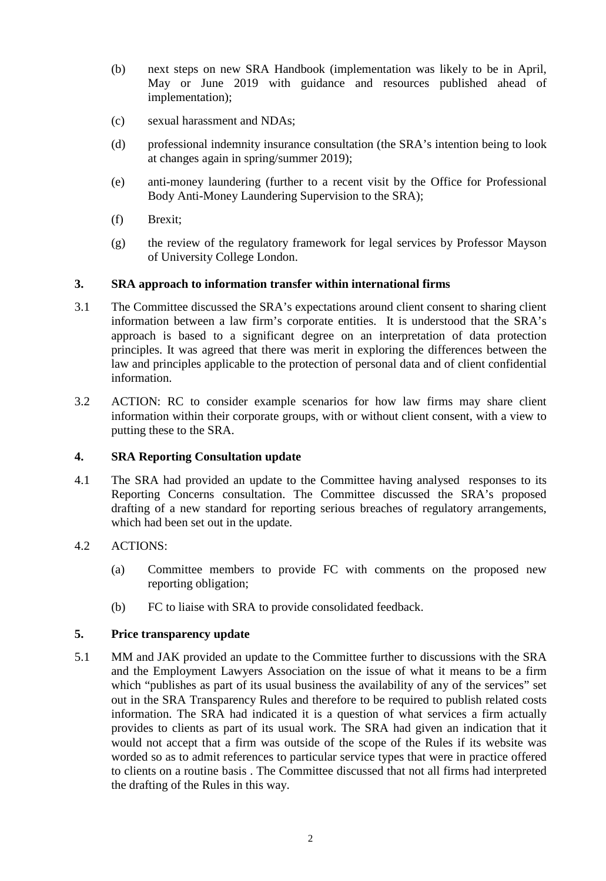- (b) next steps on new SRA Handbook (implementation was likely to be in April, May or June 2019 with guidance and resources published ahead of implementation);
- (c) sexual harassment and NDAs;
- (d) professional indemnity insurance consultation (the SRA's intention being to look at changes again in spring/summer 2019);
- (e) anti-money laundering (further to a recent visit by the Office for Professional Body Anti-Money Laundering Supervision to the SRA);
- (f) Brexit;
- (g) the review of the regulatory framework for legal services by Professor Mayson of University College London.

### **3. SRA approach to information transfer within international firms**

- 3.1 The Committee discussed the SRA's expectations around client consent to sharing client information between a law firm's corporate entities. It is understood that the SRA's approach is based to a significant degree on an interpretation of data protection principles. It was agreed that there was merit in exploring the differences between the law and principles applicable to the protection of personal data and of client confidential information.
- 3.2 ACTION: RC to consider example scenarios for how law firms may share client information within their corporate groups, with or without client consent, with a view to putting these to the SRA.

### **4. SRA Reporting Consultation update**

4.1 The SRA had provided an update to the Committee having analysed responses to its Reporting Concerns consultation. The Committee discussed the SRA's proposed drafting of a new standard for reporting serious breaches of regulatory arrangements, which had been set out in the update.

### 4.2 ACTIONS:

- (a) Committee members to provide FC with comments on the proposed new reporting obligation;
- (b) FC to liaise with SRA to provide consolidated feedback.

### **5. Price transparency update**

5.1 MM and JAK provided an update to the Committee further to discussions with the SRA and the Employment Lawyers Association on the issue of what it means to be a firm which "publishes as part of its usual business the availability of any of the services" set out in the SRA Transparency Rules and therefore to be required to publish related costs information. The SRA had indicated it is a question of what services a firm actually provides to clients as part of its usual work. The SRA had given an indication that it would not accept that a firm was outside of the scope of the Rules if its website was worded so as to admit references to particular service types that were in practice offered to clients on a routine basis . The Committee discussed that not all firms had interpreted the drafting of the Rules in this way.